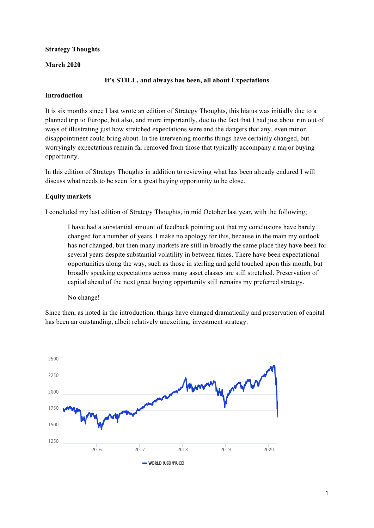# **Strategy Thoughts**

## **March 2020**

# **It's STILL, and always has been, all about Expectations**

#### **Introduction**

It is six months since I last wrote an edition of Strategy Thoughts, this hiatus was initially due to a planned trip to Europe, but also, and more importantly, due to the fact that I had just about run out of ways of illustrating just how stretched expectations were and the dangers that any, even minor, disappointment could bring about. In the intervening months things have certainly changed, but worryingly expectations remain far removed from those that typically accompany a major buying opportunity.

In this edition of Strategy Thoughts in addition to reviewing what has been already endured I will discuss what needs to be seen for a great buying opportunity to be close.

# **Equity markets**

I concluded my last edition of Strategy Thoughts, in mid October last year, with the following;

I have had a substantial amount of feedback pointing out that my conclusions have barely changed for a number of years. I make no apology for this, because in the main my outlook has not changed, but then many markets are still in broadly the same place they have been for several years despite substantial volatility in between times. There have been expectational opportunities along the way, such as those in sterling and gold touched upon this month, but broadly speaking expectations across many asset classes are still stretched. Preservation of capital ahead of the next great buying opportunity still remains my preferred strategy.

No change!

Since then, as noted in the introduction, things have changed dramatically and preservation of capital has been an outstanding, albeit relatively unexciting, investment strategy.

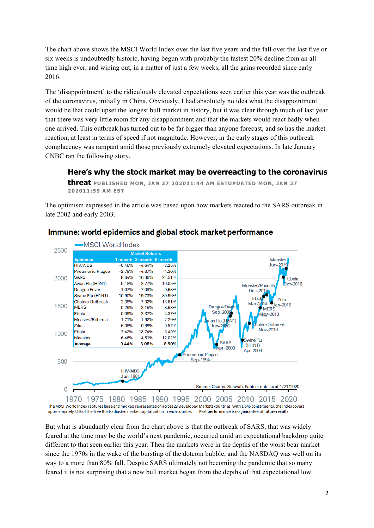The chart above shows the MSCI World Index over the last five years and the fall over the last five or six weeks is undoubtedly historic, having begun with probably the fastest 20% decline from an all time high ever, and wiping out, in a matter of just a few weeks, all the gains recorded since early 2016.

The 'disappointment' to the ridiculously elevated expectations seen earlier this year was the outbreak of the coronavirus, initially in China. Obviously, I had absolutely no idea what the disappointment would be that could upset the longest bull market in history, but it was clear through much of last year that there was very little room for any disappointment and that the markets would react badly when one arrived. This outbreak has turned out to be far bigger than anyone forecast, and so has the market reaction, at least in terms of speed if not magnitude. However, in the early stages of this outbreak complacency was rampant amid those previously extremely elevated expectations. In late January CNBC ran the following story.

# **Here's why the stock market may be overreacting to the coronavirus**

**threat PUBLISHED MON, JAN 27 202011:44 AM ESTUPDATED MON, JAN 27 202011:59 AM EST**

The optimism expressed in the article was based upon how markets reacted to the SARS outbreak in late 2002 and early 2003.



# Immune: world epidemics and global stock market performance

But what is abundantly clear from the chart above is that the outbreak of SARS, that was widely feared at the time may be the world's next pandemic, occurred amid an expectational backdrop quite different to that seen earlier this year. Then the markets were in the depths of the worst bear market since the 1970s in the wake of the bursting of the dotcom bubble, and the NASDAQ was well on its way to a more than 80% fall. Despite SARS ultimately not becoming the pandemic that so many feared it is not surprising that a new bull market began from the depths of that expectational low.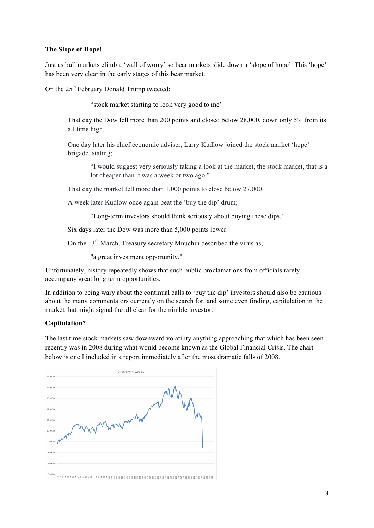## **The Slope of Hope!**

Just as bull markets climb a 'wall of worry' so bear markets slide down a 'slope of hope'. This 'hope' has been very clear in the early stages of this bear market.

On the  $25<sup>th</sup>$  February Donald Trump tweeted;

"stock market starting to look very good to me'

That day the Dow fell more than 200 points and closed below 28,000, down only 5% from its all time high.

One day later his chief economic adviser, Larry Kudlow joined the stock market 'hope' brigade, stating;

"I would suggest very seriously taking a look at the market, the stock market, that is a lot cheaper than it was a week or two ago."

That day the market fell more than 1,000 points to close below 27,000.

A week later Kudlow once again beat the 'buy the dip' drum;

"Long-term investors should think seriously about buying these dips,"

Six days later the Dow was more than 5,000 points lower.

On the  $13<sup>th</sup>$  March, Treasury secretary Mnuchin described the virus as;

"a great investment opportunity,"

Unfortunately, history repeatedly shows that such public proclamations from officials rarely accompany great long term opportunities.

In addition to being wary about the continual calls to 'buy the dip' investors should also be cautious about the many commentators currently on the search for, and some even finding, capitulation in the market that might signal the all clear for the nimble investor.

#### **Capitulation?**

The last time stock markets saw downward volatility anything approaching that which has been seen recently was in 2008 during what would become known as the Global Financial Crisis. The chart below is one I included in a report immediately after the most dramatic falls of 2008.

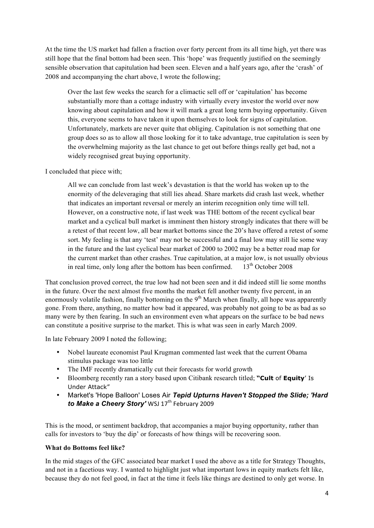At the time the US market had fallen a fraction over forty percent from its all time high, yet there was still hope that the final bottom had been seen. This 'hope' was frequently justified on the seemingly sensible observation that capitulation had been seen. Eleven and a half years ago, after the 'crash' of 2008 and accompanying the chart above, I wrote the following;

Over the last few weeks the search for a climactic sell off or 'capitulation' has become substantially more than a cottage industry with virtually every investor the world over now knowing about capitulation and how it will mark a great long term buying opportunity. Given this, everyone seems to have taken it upon themselves to look for signs of capitulation. Unfortunately, markets are never quite that obliging. Capitulation is not something that one group does so as to allow all those looking for it to take advantage, true capitulation is seen by the overwhelming majority as the last chance to get out before things really get bad, not a widely recognised great buying opportunity.

I concluded that piece with;

All we can conclude from last week's devastation is that the world has woken up to the enormity of the deleveraging that still lies ahead. Share markets did crash last week, whether that indicates an important reversal or merely an interim recognition only time will tell. However, on a constructive note, if last week was THE bottom of the recent cyclical bear market and a cyclical bull market is imminent then history strongly indicates that there will be a retest of that recent low, all bear market bottoms since the 20's have offered a retest of some sort. My feeling is that any 'test' may not be successful and a final low may still lie some way in the future and the last cyclical bear market of 2000 to 2002 may be a better road map for the current market than other crashes. True capitulation, at a major low, is not usually obvious in real time, only long after the bottom has been confirmed.  $13<sup>th</sup>$  October 2008

That conclusion proved correct, the true low had not been seen and it did indeed still lie some months in the future. Over the next almost five months the market fell another twenty five percent, in an enormously volatile fashion, finally bottoming on the  $9<sup>th</sup>$  March when finally, all hope was apparently gone. From there, anything, no matter how bad it appeared, was probably not going to be as bad as so many were by then fearing. In such an environment even what appears on the surface to be bad news can constitute a positive surprise to the market. This is what was seen in early March 2009.

In late February 2009 I noted the following;

- Nobel laureate economist Paul Krugman commented last week that the current Obama stimulus package was too little
- The IMF recently dramatically cut their forecasts for world growth
- Bloomberg recently ran a story based upon Citibank research titled; **"Cult** of **Equity**' Is Under Attack"
- Market's 'Hope Balloon' Loses Air *Tepid Upturns Haven't Stopped the Slide; 'Hard to Make a Cheery Story'* WSJ 17<sup>th</sup> February 2009

This is the mood, or sentiment backdrop, that accompanies a major buying opportunity, rather than calls for investors to 'buy the dip' or forecasts of how things will be recovering soon.

#### **What do Bottoms feel like?**

In the mid stages of the GFC associated bear market I used the above as a title for Strategy Thoughts, and not in a facetious way. I wanted to highlight just what important lows in equity markets felt like, because they do not feel good, in fact at the time it feels like things are destined to only get worse. In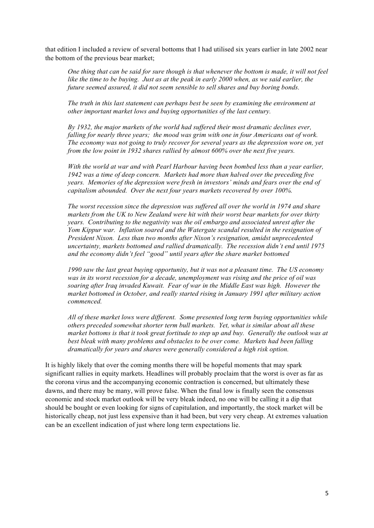that edition I included a review of several bottoms that I had utilised six years earlier in late 2002 near the bottom of the previous bear market;

*One thing that can be said for sure though is that whenever the bottom is made, it will not feel like the time to be buying. Just as at the peak in early 2000 when, as we said earlier, the future seemed assured, it did not seem sensible to sell shares and buy boring bonds.*

*The truth in this last statement can perhaps best be seen by examining the environment at other important market lows and buying opportunities of the last century.*

*By 1932, the major markets of the world had suffered their most dramatic declines ever, falling for nearly three years; the mood was grim with one in four Americans out of work. The economy was not going to truly recover for several years as the depression wore on, yet from the low point in 1932 shares rallied by almost 600% over the next five years.*

*With the world at war and with Pearl Harbour having been bombed less than a year earlier, 1942 was a time of deep concern. Markets had more than halved over the preceding five years. Memories of the depression were fresh in investors' minds and fears over the end of capitalism abounded. Over the next four years markets recovered by over 100%.*

*The worst recession since the depression was suffered all over the world in 1974 and share markets from the UK to New Zealand were hit with their worst bear markets for over thirty years. Contributing to the negativity was the oil embargo and associated unrest after the Yom Kippur war. Inflation soared and the Watergate scandal resulted in the resignation of President Nixon. Less than two months after Nixon's resignation, amidst unprecedented uncertainty, markets bottomed and rallied dramatically. The recession didn't end until 1975 and the economy didn't feel "good" until years after the share market bottomed* 

*1990 saw the last great buying opportunity, but it was not a pleasant time. The US economy was in its worst recession for a decade, unemployment was rising and the price of oil was soaring after Iraq invaded Kuwait. Fear of war in the Middle East was high. However the market bottomed in October, and really started rising in January 1991 after military action commenced.* 

*All of these market lows were different. Some presented long term buying opportunities while others preceded somewhat shorter term bull markets. Yet, what is similar about all these market bottoms is that it took great fortitude to step up and buy. Generally the outlook was at best bleak with many problems and obstacles to be over come. Markets had been falling dramatically for years and shares were generally considered a high risk option.*

It is highly likely that over the coming months there will be hopeful moments that may spark significant rallies in equity markets. Headlines will probably proclaim that the worst is over as far as the corona virus and the accompanying economic contraction is concerned, but ultimately these dawns, and there may be many, will prove false. When the final low is finally seen the consensus economic and stock market outlook will be very bleak indeed, no one will be calling it a dip that should be bought or even looking for signs of capitulation, and importantly, the stock market will be historically cheap, not just less expensive than it had been, but very very cheap. At extremes valuation can be an excellent indication of just where long term expectations lie.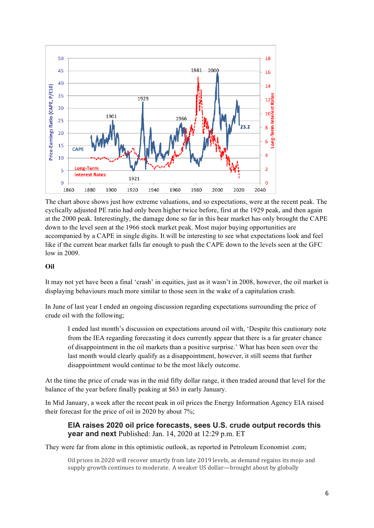

The chart above shows just how extreme valuations, and so expectations, were at the recent peak. The cyclically adjusted PE ratio had only been higher twice before, first at the 1929 peak, and then again at the 2000 peak. Interestingly, the damage done so far in this bear market has only brought the CAPE down to the level seen at the 1966 stock market peak. Most major buying opportunities are accompanied by a CAPE in single digits. It will be interesting to see what expectations look and feel like if the current bear market falls far enough to push the CAPE down to the levels seen at the GFC low in 2009.

# **Oil**

It may not yet have been a final 'crash' in equities, just as it wasn't in 2008, however, the oil market is displaying behaviours much more similar to those seen in the wake of a capitulation crash.

In June of last year I ended an ongoing discussion regarding expectations surrounding the price of crude oil with the following;

I ended last month's discussion on expectations around oil with, 'Despite this cautionary note from the IEA regarding forecasting it does currently appear that there is a far greater chance of disappointment in the oil markets than a positive surprise.' What has been seen over the last month would clearly qualify as a disappointment, however, it still seems that further disappointment would continue to be the most likely outcome.

At the time the price of crude was in the mid fifty dollar range, it then traded around that level for the balance of the year before finally peaking at \$63 in early January.

In Mid January, a week after the recent peak in oil prices the Energy Information Agency EIA raised their forecast for the price of oil in 2020 by about 7%;

# **EIA raises 2020 oil price forecasts, sees U.S. crude output records this year and next** Published: Jan. 14, 2020 at 12:29 p.m. ET

They were far from alone in this optimistic outlook, as reported in Petroleum Economist .com;

Oil prices in 2020 will recover smartly from late 2019 levels, as demand regains its mojo and supply growth continues to moderate. A weaker US dollar—brought about by globally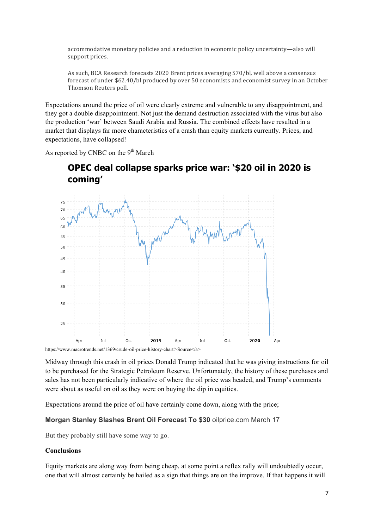accommodative monetary policies and a reduction in economic policy uncertainty—also will support prices.

As such, BCA Research forecasts 2020 Brent prices averaging \$70/bl, well above a consensus forecast of under \$62.40/bl produced by over 50 economists and economist survey in an October Thomson Reuters poll.

Expectations around the price of oil were clearly extreme and vulnerable to any disappointment, and they got a double disappointment. Not just the demand destruction associated with the virus but also the production 'war' between Saudi Arabia and Russia. The combined effects have resulted in a market that displays far more characteristics of a crash than equity markets currently. Prices, and expectations, have collapsed!

As reported by CNBC on the  $9<sup>th</sup>$  March



# **OPEC deal collapse sparks price war: '\$20 oil in 2020 is coming'**

Midway through this crash in oil prices Donald Trump indicated that he was giving instructions for oil to be purchased for the Strategic Petroleum Reserve. Unfortunately, the history of these purchases and sales has not been particularly indicative of where the oil price was headed, and Trump's comments were about as useful on oil as they were on buying the dip in equities.

Expectations around the price of oil have certainly come down, along with the price;

#### **Morgan Stanley Slashes Brent Oil Forecast To \$30** oilprice.com March 17

But they probably still have some way to go.

#### **Conclusions**

Equity markets are along way from being cheap, at some point a reflex rally will undoubtedly occur, one that will almost certainly be hailed as a sign that things are on the improve. If that happens it will